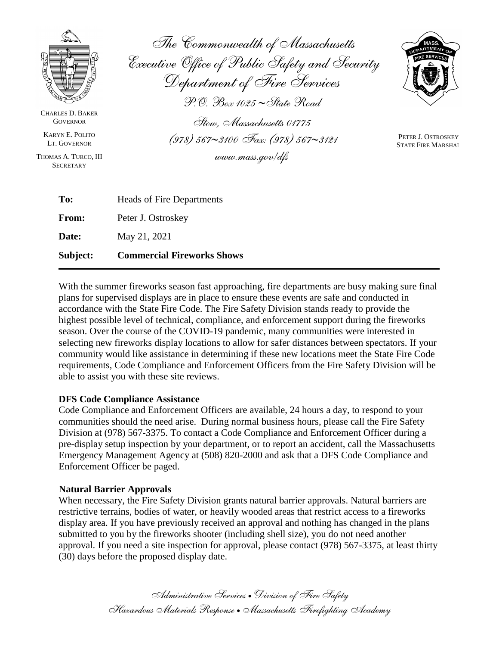

CHARLES D. BAKER **GOVERNOR** 

KARYN E. POLITO LT. GOVERNOR

THOMAS A. TURCO, III **SECRETARY** 

*The Commonwealth of Massachusetts Executive Office of Public Safety and Security Department of Fire Services P.O. Box 1025 State Road Stow, Massachusetts 01775 (978) 5673100 Fax: (978) 5673121*

*www.mass.gov/dfs*



PETER J. OSTROSKEY STATE FIRE MARSHAL

| Subject: | <b>Commercial Fireworks Shows</b> |
|----------|-----------------------------------|
| Date:    | May 21, 2021                      |
| From:    | Peter J. Ostroskey                |
| To:      | <b>Heads of Fire Departments</b>  |

With the summer fireworks season fast approaching, fire departments are busy making sure final plans for supervised displays are in place to ensure these events are safe and conducted in accordance with the State Fire Code. The Fire Safety Division stands ready to provide the highest possible level of technical, compliance, and enforcement support during the fireworks season. Over the course of the COVID-19 pandemic, many communities were interested in selecting new fireworks display locations to allow for safer distances between spectators. If your community would like assistance in determining if these new locations meet the State Fire Code requirements, Code Compliance and Enforcement Officers from the Fire Safety Division will be able to assist you with these site reviews.

# **DFS Code Compliance Assistance**

Code Compliance and Enforcement Officers are available, 24 hours a day, to respond to your communities should the need arise. During normal business hours, please call the Fire Safety Division at (978) 567-3375. To contact a Code Compliance and Enforcement Officer during a pre-display setup inspection by your department, or to report an accident, call the Massachusetts Emergency Management Agency at (508) 820-2000 and ask that a DFS Code Compliance and Enforcement Officer be paged.

# **Natural Barrier Approvals**

When necessary, the Fire Safety Division grants natural barrier approvals. Natural barriers are restrictive terrains, bodies of water, or heavily wooded areas that restrict access to a fireworks display area. If you have previously received an approval and nothing has changed in the plans submitted to you by the fireworks shooter (including shell size), you do not need another approval. If you need a site inspection for approval, please contact (978) 567-3375, at least thirty (30) days before the proposed display date.

> *Administrative Services Division of Fire Safety Hazardous Materials Response Massachusetts Firefighting Academy*